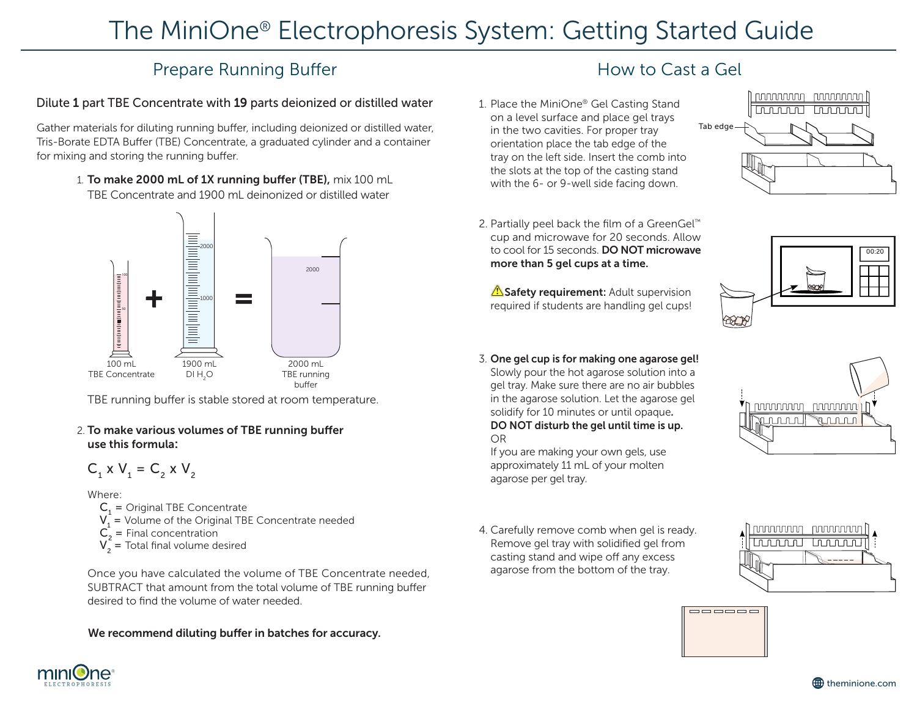# The MiniOne® Electrophoresis System: Getting Started Guide

## Prepare Running Buffer

### Dilute 1 part TBE Concentrate with 19 parts deionized or distilled water

Gather materials for diluting running buffer, including deionized or distilled water, Tris-Borate EDTA Buffer (TBE) Concentrate, a graduated cylinder and a container for mixing and storing the running buffer.

> 1. To make 2000 mL of 1X running buffer (TBE), mix 100 mL TBE Concentrate and 1900 mL deinonized or distilled water



TBE running buffer is stable stored at room temperature.

2. To make various volumes of TBE running buffer use this formula:

$$
C_1 \times V_1 = C_2 \times V_2
$$

Where:

 $C_1$  = Original TBE Concentrate

- $V_1$  = Volume of the Original TBE Concentrate needed
- $C_2 =$  Final concentration
- $V_2$  = Total final volume desired

 Once you have calculated the volume of TBE Concentrate needed, SUBTRACT that amount from the total volume of TBE running buffer desired to find the volume of water needed.

#### We recommend diluting buffer in batches for accuracy.

## How to Cast a Gel

1. Place the MiniOne® Gel Casting Stand on a level surface and place gel trays in the two cavities. For proper tray orientation place the tab edge of the tray on the left side. Insert the comb into the slots at the top of the casting stand with the 6- or 9-well side facing down.



2. Partially peel back the film of a GreenGel<sup>™</sup> cup and microwave for 20 seconds. Allow to cool for 15 seconds. **DO NOT microwave** more than 5 gel cups at a time.

Safety requirement: Adult supervision required if students are handling gel cups!

3. One gel cup is for making one agarose gel! Slowly pour the hot agarose solution into a gel tray. Make sure there are no air bubbles in the agarose solution. Let the agarose gel solidify for 10 minutes or until opaque. DO NOT disturb the gel until time is up. OR

 If you are making your own gels, use approximately 11 mL of your molten agarose per gel tray.

4. Carefully remove comb when gel is ready. Remove gel tray with solidified gel from casting stand and wipe off any excess agarose from the bottom of the tray.